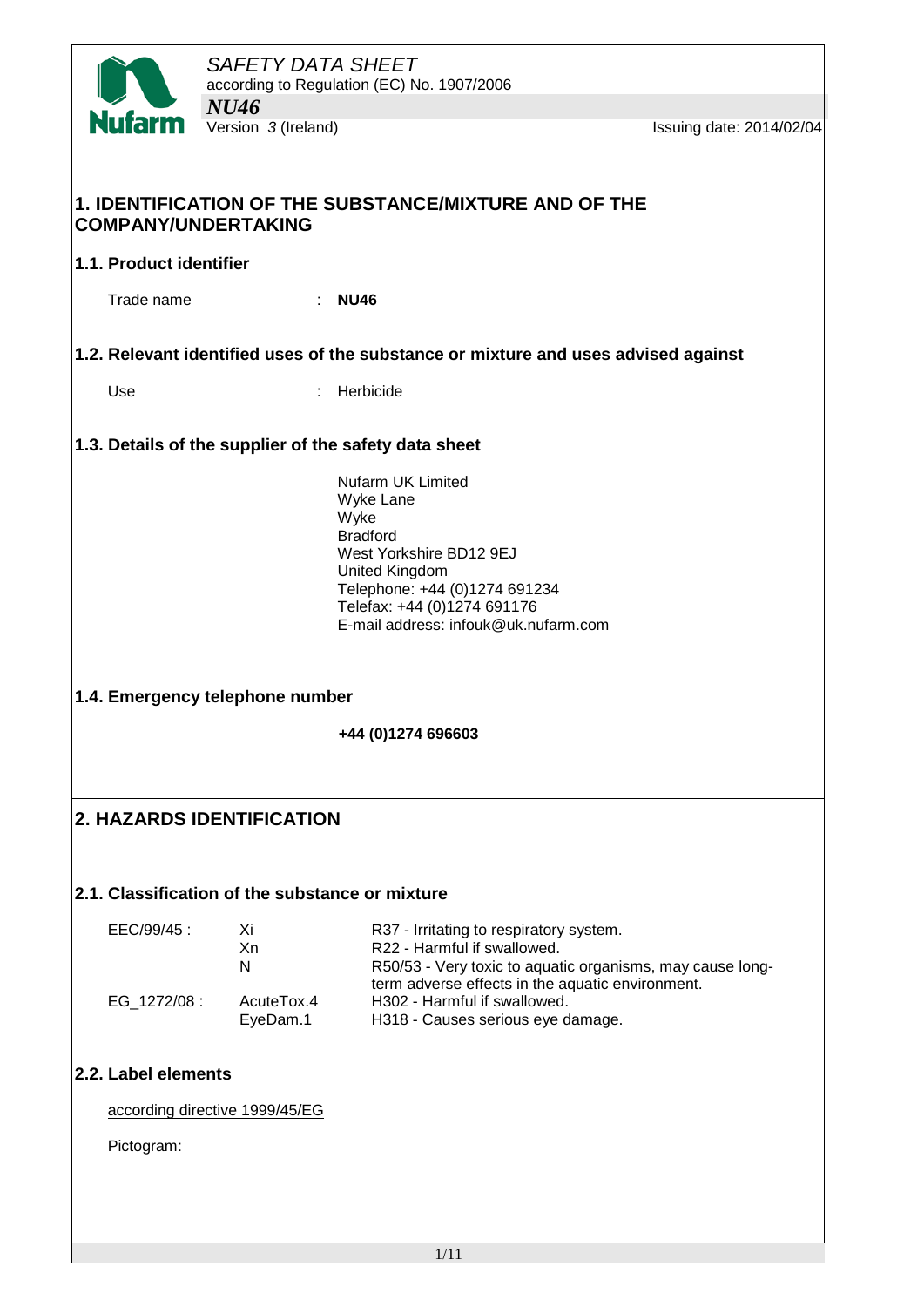

# **1. IDENTIFICATION OF THE SUBSTANCE/MIXTURE AND OF THE COMPANY/UNDERTAKING 1.1. Product identifier** Trade name : **NU46 1.2. Relevant identified uses of the substance or mixture and uses advised against** Use : Herbicide **1.3. Details of the supplier of the safety data sheet** Nufarm UK Limited Wyke Lane Wyke Bradford West Yorkshire BD12 9EJ United Kingdom Telephone: +44 (0)1274 691234 Telefax: +44 (0)1274 691176 E-mail address: infouk@uk.nufarm.com **1.4. Emergency telephone number +44 (0)1274 696603 2. HAZARDS IDENTIFICATION 2.1. Classification of the substance or mixture** EEC/99/45 : Xi R37 - Irritating to respiratory system.<br>
Xn R22 - Harmful if swallowed R22 - Harmful if swallowed. N R50/53 - Very toxic to aquatic organisms, may cause longterm adverse effects in the aquatic environment. EG 1272/08 : AcuteTox.4 H302 - Harmful if swallowed. EyeDam.1 H318 - Causes serious eye damage. **2.2. Label elements** according directive 1999/45/EG Pictogram: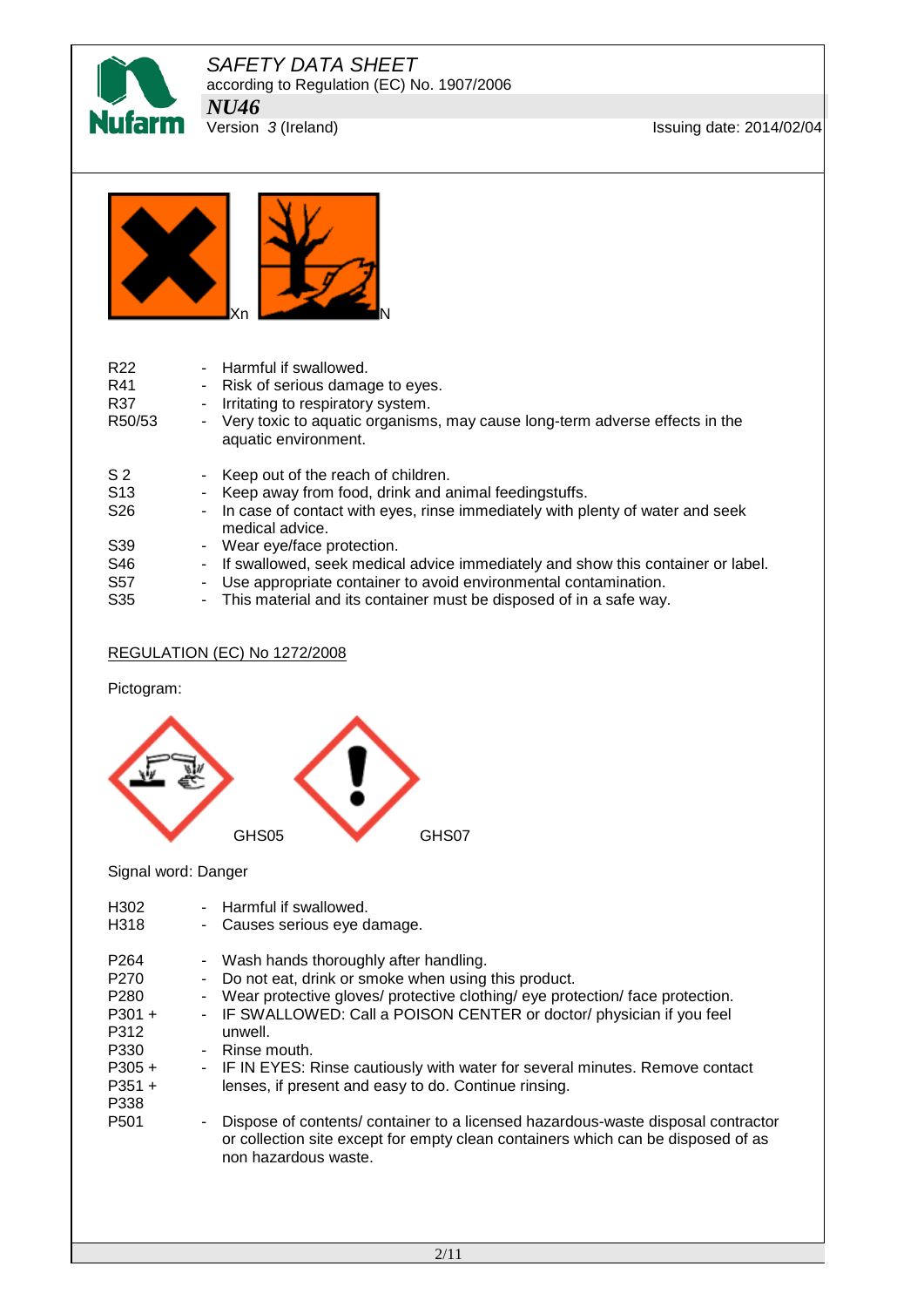

**Issuing date: 2014/02/04** 



| R <sub>22</sub><br>R41<br>R37<br>R50/53              | - Harmful if swallowed.<br>- Risk of serious damage to eyes.<br>Irritating to respiratory system.<br>$\blacksquare$<br>- Very toxic to aquatic organisms, may cause long-term adverse effects in the<br>aquatic environment. |
|------------------------------------------------------|------------------------------------------------------------------------------------------------------------------------------------------------------------------------------------------------------------------------------|
| S <sub>2</sub><br>S <sub>13</sub><br>S <sub>26</sub> | - Keep out of the reach of children.<br>- Keep away from food, drink and animal feedingstuffs.<br>- In case of contact with eyes, rinse immediately with plenty of water and seek<br>medical advice.                         |
| S39<br>S46<br>S <sub>57</sub>                        | - Wear eye/face protection.<br>- If swallowed, seek medical advice immediately and show this container or label.<br>Use appropriate container to avoid environmental contamination.<br>۰                                     |
| S <sub>35</sub>                                      | - This material and its container must be disposed of in a safe way.                                                                                                                                                         |

## REGULATION (EC) No 1272/2008

Pictogram:



#### Signal word: Danger

| H <sub>302</sub> | - Harmful if swallowed.                                                          |
|------------------|----------------------------------------------------------------------------------|
| H318             | - Causes serious eye damage.                                                     |
| P <sub>264</sub> | - Wash hands thoroughly after handling.                                          |
| P <sub>270</sub> | - Do not eat, drink or smoke when using this product.                            |
| P <sub>280</sub> | - Wear protective gloves/ protective clothing/ eye protection/ face protection.  |
| $P301 +$         | - IF SWALLOWED: Call a POISON CENTER or doctor/ physician if you feel            |
| P312             | unwell.                                                                          |
| P330             | - Rinse mouth.                                                                   |
| $P305 +$         | - IF IN EYES: Rinse cautiously with water for several minutes. Remove contact    |
| $P351 +$         | lenses, if present and easy to do. Continue rinsing.                             |
| P338             | Dispose of contents/ container to a licensed hazardous-waste disposal contractor |
| P <sub>501</sub> | or collection site except for empty clean containers which can be disposed of as |
| ۰.               | non hazardous waste.                                                             |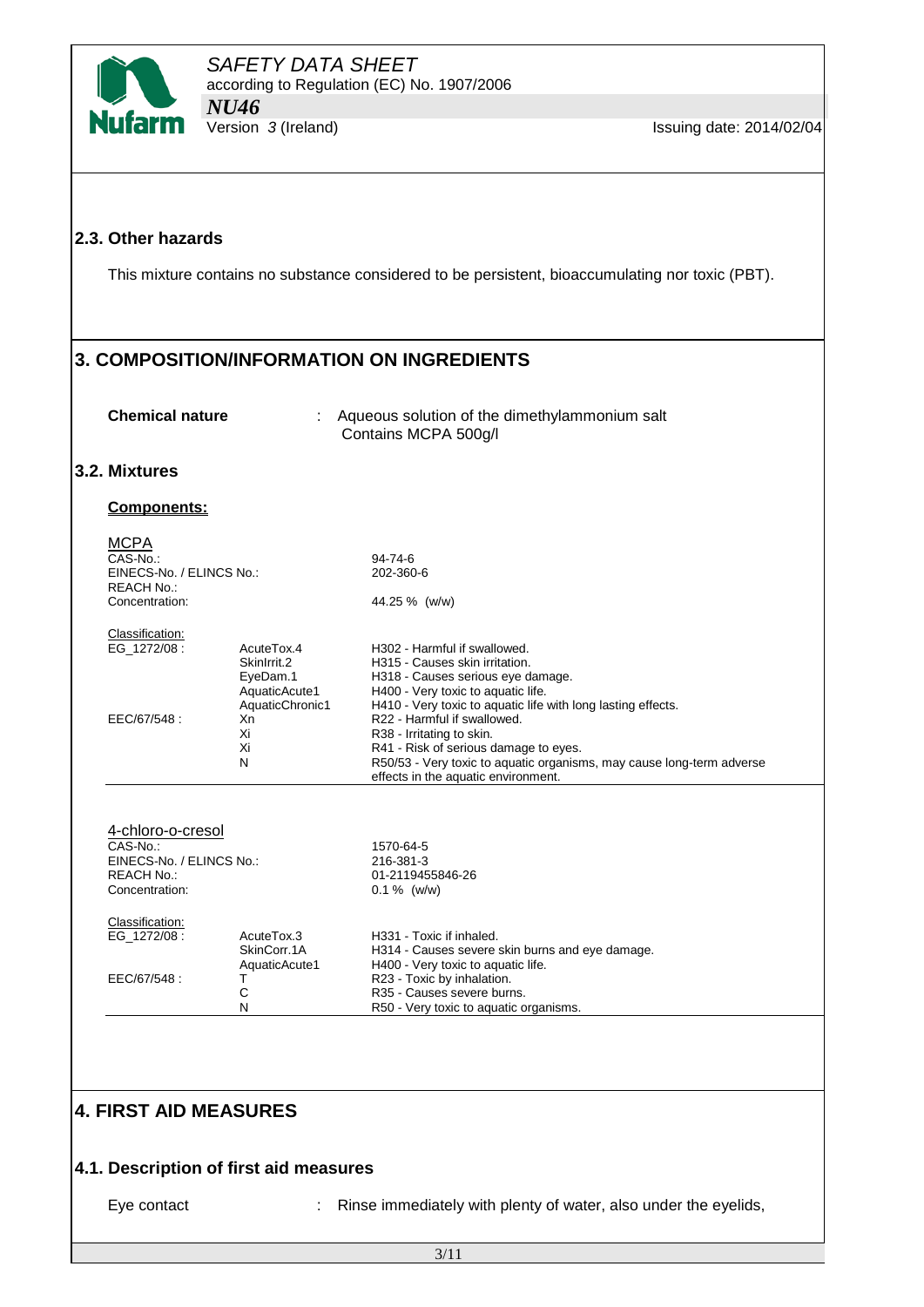

#### **2.3. Other hazards**

This mixture contains no substance considered to be persistent, bioaccumulating nor toxic (PBT).

# **3. COMPOSITION/INFORMATION ON INGREDIENTS**

**Chemical nature** : Aqueous solution of the dimethylammonium salt Contains MCPA 500g/l

#### **3.2. Mixtures**

#### **Components:**

| <b>MCPA</b><br>CAS-No.:<br>EINECS-No. / ELINCS No.:<br><b>REACH No.:</b><br>Concentration:       |                                                        | 94-74-6<br>202-360-6<br>44.25 % (w/w)                                                                                                                                                                                                                                             |  |  |  |
|--------------------------------------------------------------------------------------------------|--------------------------------------------------------|-----------------------------------------------------------------------------------------------------------------------------------------------------------------------------------------------------------------------------------------------------------------------------------|--|--|--|
| Classification:<br>EG 1272/08:                                                                   | AcuteTox.4<br>Skinlrrit.2<br>EyeDam.1<br>AquaticAcute1 | H302 - Harmful if swallowed.<br>H315 - Causes skin irritation.<br>H318 - Causes serious eye damage.<br>H400 - Very toxic to aquatic life.                                                                                                                                         |  |  |  |
| EEC/67/548:                                                                                      | AquaticChronic1<br>Xn<br>Xi<br>Xi<br>N                 | H410 - Very toxic to aquatic life with long lasting effects.<br>R22 - Harmful if swallowed.<br>R38 - Irritating to skin.<br>R41 - Risk of serious damage to eyes.<br>R50/53 - Very toxic to aquatic organisms, may cause long-term adverse<br>effects in the aquatic environment. |  |  |  |
| 4-chloro-o-cresol<br>CAS-No.:<br>EINECS-No. / ELINCS No.:<br><b>REACH No.:</b><br>Concentration: |                                                        | 1570-64-5<br>216-381-3<br>01-2119455846-26<br>$0.1\%$ (w/w)                                                                                                                                                                                                                       |  |  |  |
| Classification:<br>EG 1272/08:                                                                   | AcuteTox.3<br>SkinCorr.1A<br>AquaticAcute1             | H331 - Toxic if inhaled.<br>H314 - Causes severe skin burns and eye damage.<br>H400 - Very toxic to aquatic life.                                                                                                                                                                 |  |  |  |
| EEC/67/548:                                                                                      | т<br>C<br>N                                            | R23 - Toxic by inhalation.<br>R35 - Causes severe burns.<br>R50 - Very toxic to aquatic organisms.                                                                                                                                                                                |  |  |  |
|                                                                                                  |                                                        |                                                                                                                                                                                                                                                                                   |  |  |  |

# **4. FIRST AID MEASURES**

## **4.1. Description of first aid measures**

Eye contact : Rinse immediately with plenty of water, also under the eyelids,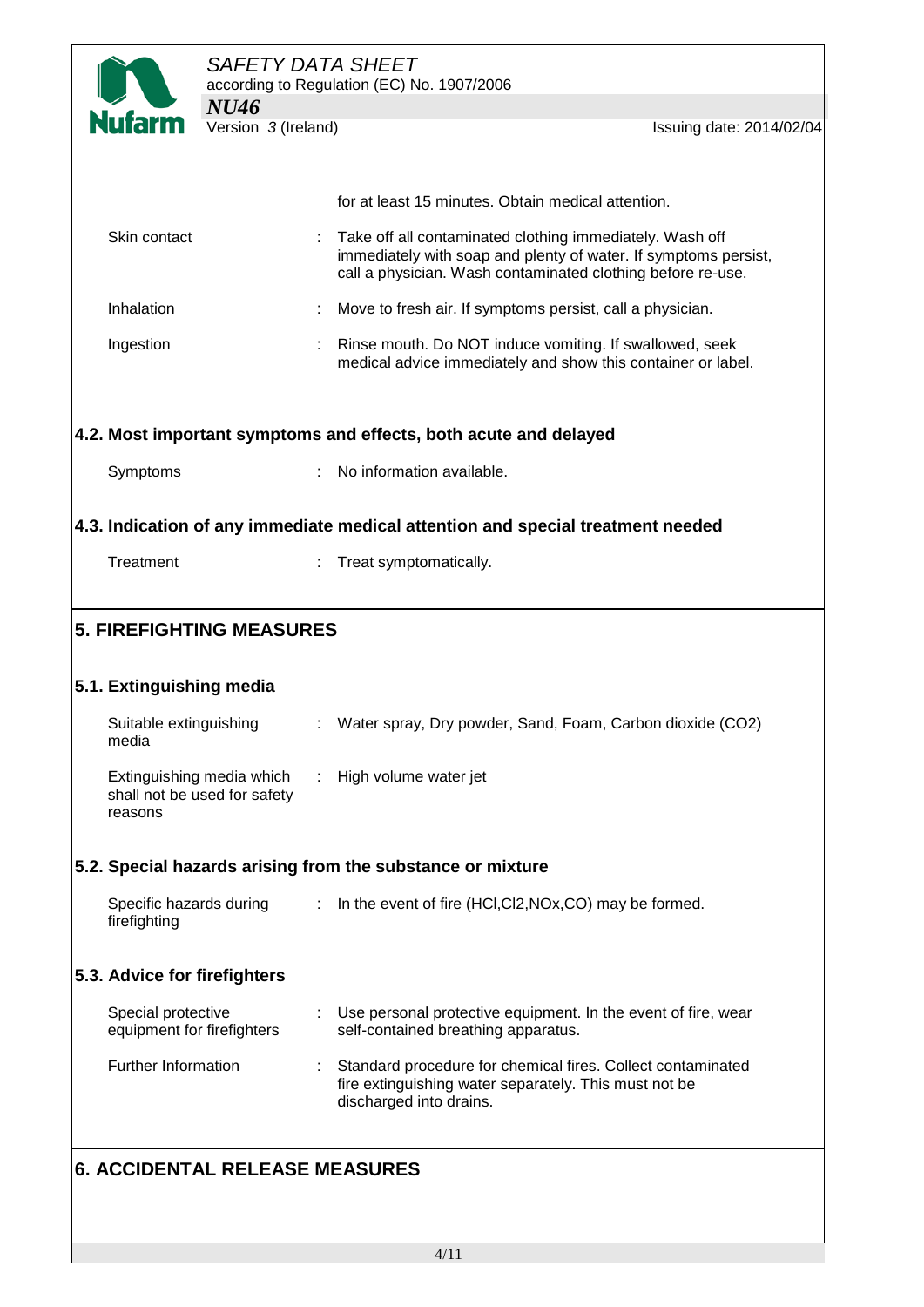

|                                                                      |                | for at least 15 minutes. Obtain medical attention.                                                                                                                                         |
|----------------------------------------------------------------------|----------------|--------------------------------------------------------------------------------------------------------------------------------------------------------------------------------------------|
| Skin contact                                                         |                | Take off all contaminated clothing immediately. Wash off<br>immediately with soap and plenty of water. If symptoms persist,<br>call a physician. Wash contaminated clothing before re-use. |
| Inhalation                                                           |                | Move to fresh air. If symptoms persist, call a physician.                                                                                                                                  |
| Ingestion                                                            |                | Rinse mouth. Do NOT induce vomiting. If swallowed, seek<br>medical advice immediately and show this container or label.                                                                    |
|                                                                      |                | 4.2. Most important symptoms and effects, both acute and delayed                                                                                                                           |
| Symptoms                                                             |                | No information available.                                                                                                                                                                  |
|                                                                      |                | 4.3. Indication of any immediate medical attention and special treatment needed                                                                                                            |
| Treatment                                                            |                | Treat symptomatically.                                                                                                                                                                     |
|                                                                      |                |                                                                                                                                                                                            |
| <b>5. FIREFIGHTING MEASURES</b>                                      |                |                                                                                                                                                                                            |
|                                                                      |                |                                                                                                                                                                                            |
| 5.1. Extinguishing media                                             |                |                                                                                                                                                                                            |
| Suitable extinguishing<br>media                                      |                | Water spray, Dry powder, Sand, Foam, Carbon dioxide (CO2)                                                                                                                                  |
| Extinguishing media which<br>shall not be used for safety<br>reasons |                | : High volume water jet                                                                                                                                                                    |
| 5.2. Special hazards arising from the substance or mixture           |                |                                                                                                                                                                                            |
| Specific hazards during<br>firefighting                              | $\mathbb{Z}^n$ | In the event of fire (HCI,CI2, NOx, CO) may be formed.                                                                                                                                     |
| 5.3. Advice for firefighters                                         |                |                                                                                                                                                                                            |
| Special protective<br>equipment for firefighters                     |                | Use personal protective equipment. In the event of fire, wear<br>self-contained breathing apparatus.                                                                                       |
| Further Information                                                  |                | Standard procedure for chemical fires. Collect contaminated<br>fire extinguishing water separately. This must not be<br>discharged into drains.                                            |
| <b>6. ACCIDENTAL RELEASE MEASURES</b>                                |                |                                                                                                                                                                                            |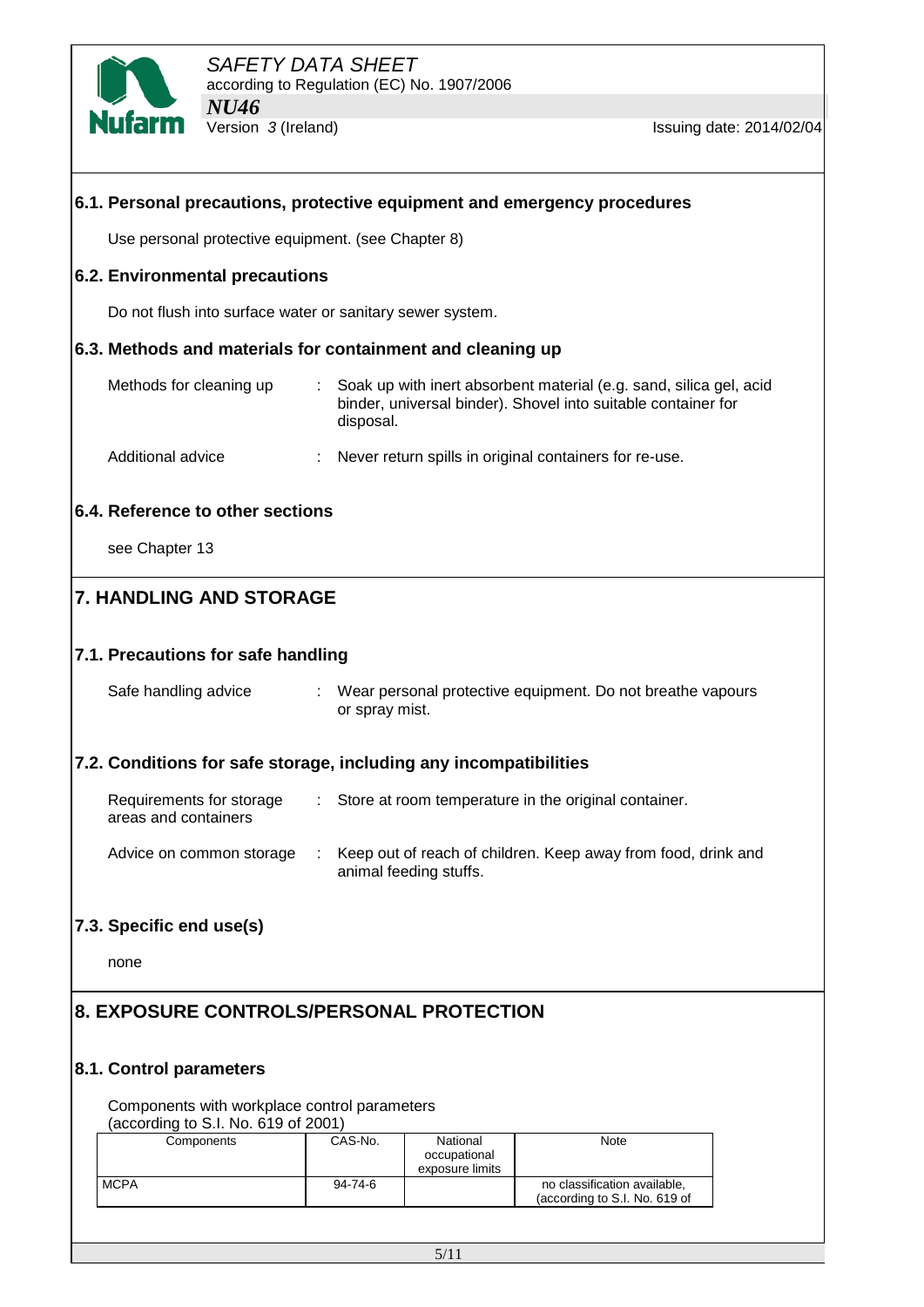

| 6.1. Personal precautions, protective equipment and emergency procedures |                             |                                 |                                                                                                                                     |  |
|--------------------------------------------------------------------------|-----------------------------|---------------------------------|-------------------------------------------------------------------------------------------------------------------------------------|--|
| Use personal protective equipment. (see Chapter 8)                       |                             |                                 |                                                                                                                                     |  |
| 6.2. Environmental precautions                                           |                             |                                 |                                                                                                                                     |  |
| Do not flush into surface water or sanitary sewer system.                |                             |                                 |                                                                                                                                     |  |
| 6.3. Methods and materials for containment and cleaning up               |                             |                                 |                                                                                                                                     |  |
| Methods for cleaning up                                                  | disposal.                   |                                 | Soak up with inert absorbent material (e.g. sand, silica gel, acid<br>binder, universal binder). Shovel into suitable container for |  |
| Additional advice                                                        |                             |                                 | Never return spills in original containers for re-use.                                                                              |  |
| 6.4. Reference to other sections                                         |                             |                                 |                                                                                                                                     |  |
| see Chapter 13                                                           |                             |                                 |                                                                                                                                     |  |
| <b>7. HANDLING AND STORAGE</b>                                           |                             |                                 |                                                                                                                                     |  |
|                                                                          |                             |                                 |                                                                                                                                     |  |
| 7.1. Precautions for safe handling                                       |                             |                                 |                                                                                                                                     |  |
| Safe handling advice                                                     | or spray mist.              |                                 | : Wear personal protective equipment. Do not breathe vapours                                                                        |  |
| 7.2. Conditions for safe storage, including any incompatibilities        |                             |                                 |                                                                                                                                     |  |
| Requirements for storage<br>areas and containers                         | $\mathcal{L}^{\mathcal{L}}$ |                                 | Store at room temperature in the original container.                                                                                |  |
| Advice on common storage                                                 |                             | animal feeding stuffs.          | Keep out of reach of children. Keep away from food, drink and                                                                       |  |
| 7.3. Specific end use(s)                                                 |                             |                                 |                                                                                                                                     |  |
| none                                                                     |                             |                                 |                                                                                                                                     |  |
| 8. EXPOSURE CONTROLS/PERSONAL PROTECTION                                 |                             |                                 |                                                                                                                                     |  |
|                                                                          |                             |                                 |                                                                                                                                     |  |
| 8.1. Control parameters                                                  |                             |                                 |                                                                                                                                     |  |
| Components with workplace control parameters                             |                             |                                 |                                                                                                                                     |  |
| (according to S.I. No. 619 of 2001)<br>Components                        | CAS-No.                     | National                        | Note                                                                                                                                |  |
|                                                                          |                             | occupational<br>exposure limits |                                                                                                                                     |  |
| <b>MCPA</b>                                                              | 94-74-6                     |                                 | no classification available,<br>(according to S.I. No. 619 of                                                                       |  |
|                                                                          |                             |                                 |                                                                                                                                     |  |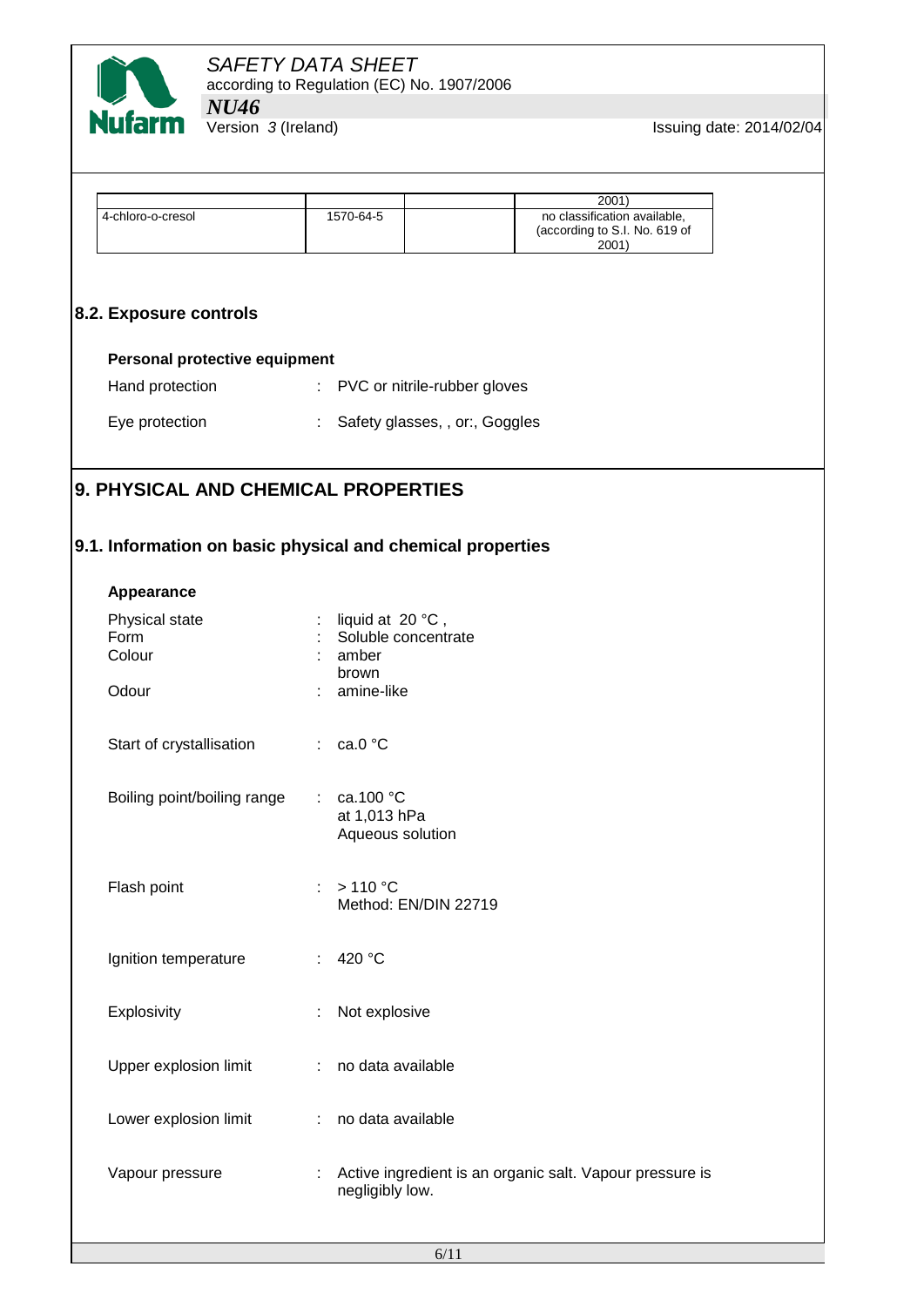

**Issuing date: 2014/02/04** 

|                                                            |                                                    |                                  | 2001                                                                   |
|------------------------------------------------------------|----------------------------------------------------|----------------------------------|------------------------------------------------------------------------|
| 4-chloro-o-cresol                                          | 1570-64-5                                          |                                  | no classification available,<br>(according to S.I. No. 619 of<br>2001) |
| 8.2. Exposure controls                                     |                                                    |                                  |                                                                        |
|                                                            |                                                    |                                  |                                                                        |
| Personal protective equipment                              |                                                    |                                  |                                                                        |
| Hand protection                                            |                                                    | : PVC or nitrile-rubber gloves   |                                                                        |
| Eye protection                                             |                                                    | : Safety glasses, , or:, Goggles |                                                                        |
| 9. PHYSICAL AND CHEMICAL PROPERTIES                        |                                                    |                                  |                                                                        |
|                                                            |                                                    |                                  |                                                                        |
| 9.1. Information on basic physical and chemical properties |                                                    |                                  |                                                                        |
| Appearance                                                 |                                                    |                                  |                                                                        |
| Physical state                                             | liquid at 20 °C,                                   |                                  |                                                                        |
| Form<br>Colour                                             | amber                                              | Soluble concentrate              |                                                                        |
| Odour                                                      | brown<br>amine-like                                |                                  |                                                                        |
| Start of crystallisation                                   | $\therefore$ ca.0 °C                               |                                  |                                                                        |
| Boiling point/boiling range                                | ca.100 °C<br>$\mathbb{Z}^{\times}$<br>at 1,013 hPa | Aqueous solution                 |                                                                        |
| Flash point                                                | >110 °C<br>÷                                       | Method: EN/DIN 22719             |                                                                        |
| Ignition temperature                                       | : $420 °C$                                         |                                  |                                                                        |
| Explosivity                                                | Not explosive                                      |                                  |                                                                        |
| Upper explosion limit                                      | no data available<br>÷                             |                                  |                                                                        |
| Lower explosion limit                                      | ÷                                                  | no data available                |                                                                        |
| Vapour pressure                                            | negligibly low.                                    |                                  | Active ingredient is an organic salt. Vapour pressure is               |
|                                                            |                                                    |                                  |                                                                        |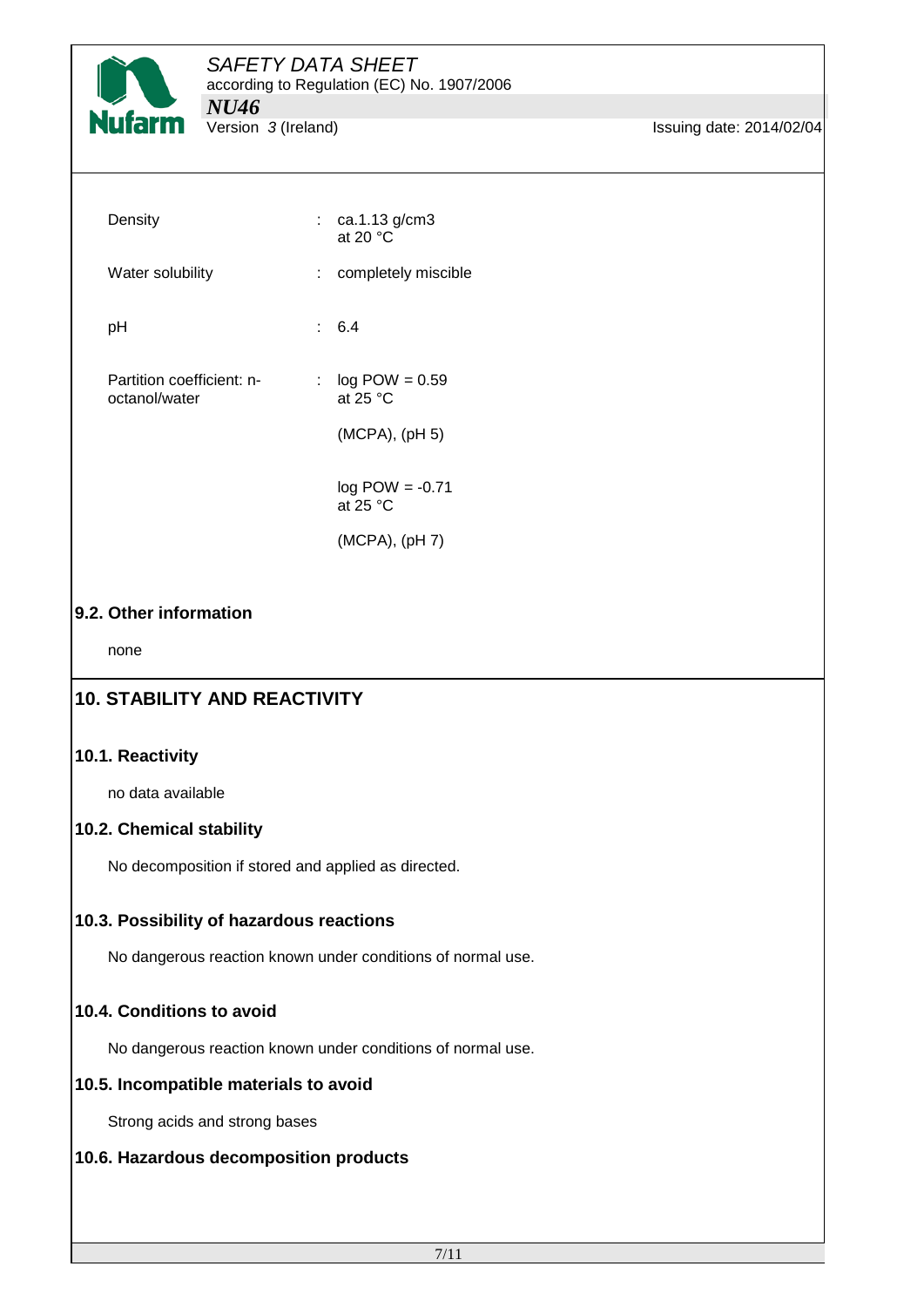

# *SAFETY DATA SHEET*

according to Regulation (EC) No. 1907/2006

**Issuing date: 2014/02/04** 

| Density                                    | $\therefore$ ca.1.13 g/cm3<br>at 20 $^{\circ}$ C |  |
|--------------------------------------------|--------------------------------------------------|--|
| Water solubility                           | : completely miscible                            |  |
| рH                                         | : 6.4                                            |  |
| Partition coefficient: n-<br>octanol/water | $log$ POW = 0.59<br>t.<br>at 25 $°C$             |  |
|                                            | (MCPA), (pH 5)                                   |  |
|                                            | $log$ POW = -0.71<br>at $25 °C$                  |  |
|                                            | $(MCPA)$ , $(pH7)$                               |  |

## **9.2. Other information**

none

# **10. STABILITY AND REACTIVITY**

#### **10.1. Reactivity**

no data available

## **10.2. Chemical stability**

No decomposition if stored and applied as directed.

## **10.3. Possibility of hazardous reactions**

No dangerous reaction known under conditions of normal use.

## **10.4. Conditions to avoid**

No dangerous reaction known under conditions of normal use.

#### **10.5. Incompatible materials to avoid**

Strong acids and strong bases

#### **10.6. Hazardous decomposition products**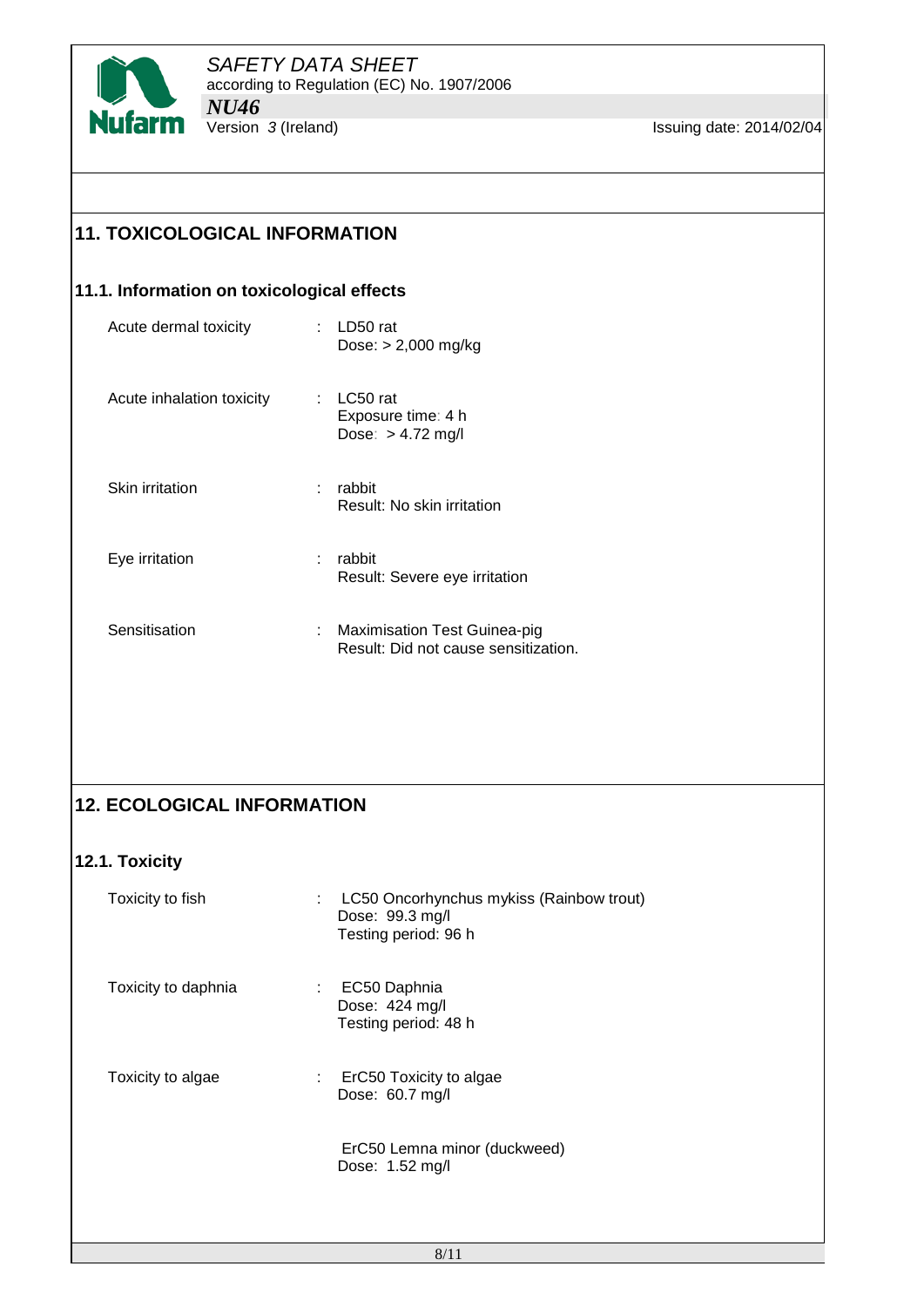

**Issuing date: 2014/02/04** 

# **11. TOXICOLOGICAL INFORMATION**

# **11.1. Information on toxicological effects**

| Acute dermal toxicity     |   | LD50 rat<br>Dose: $> 2,000$ mg/kg                     |
|---------------------------|---|-------------------------------------------------------|
| Acute inhalation toxicity |   | LC50 rat<br>Exposure time: 4 h<br>Dose: $> 4.72$ mg/l |
| Skin irritation           | ÷ | rabbit<br>Result: No skin irritation                  |
| Eye irritation            | ÷ | rabbit<br>Result: Severe eye irritation               |
| Sensitisation             |   | Maximisation Test Guinea-pig                          |

# **12. ECOLOGICAL INFORMATION**

# **12.1. Toxicity**

| Toxicity to fish    | LC50 Oncorhynchus mykiss (Rainbow trout)<br>t.<br>Dose: 99.3 mg/l<br>Testing period: 96 h |
|---------------------|-------------------------------------------------------------------------------------------|
| Toxicity to daphnia | EC50 Daphnia<br>t.<br>Dose: 424 mg/l<br>Testing period: 48 h                              |
| Toxicity to algae   | ErC50 Toxicity to algae<br>÷.<br>Dose: 60.7 mg/l                                          |
|                     | ErC50 Lemna minor (duckweed)<br>Dose: 1.52 mg/l                                           |
|                     |                                                                                           |

Result: Did not cause sensitization.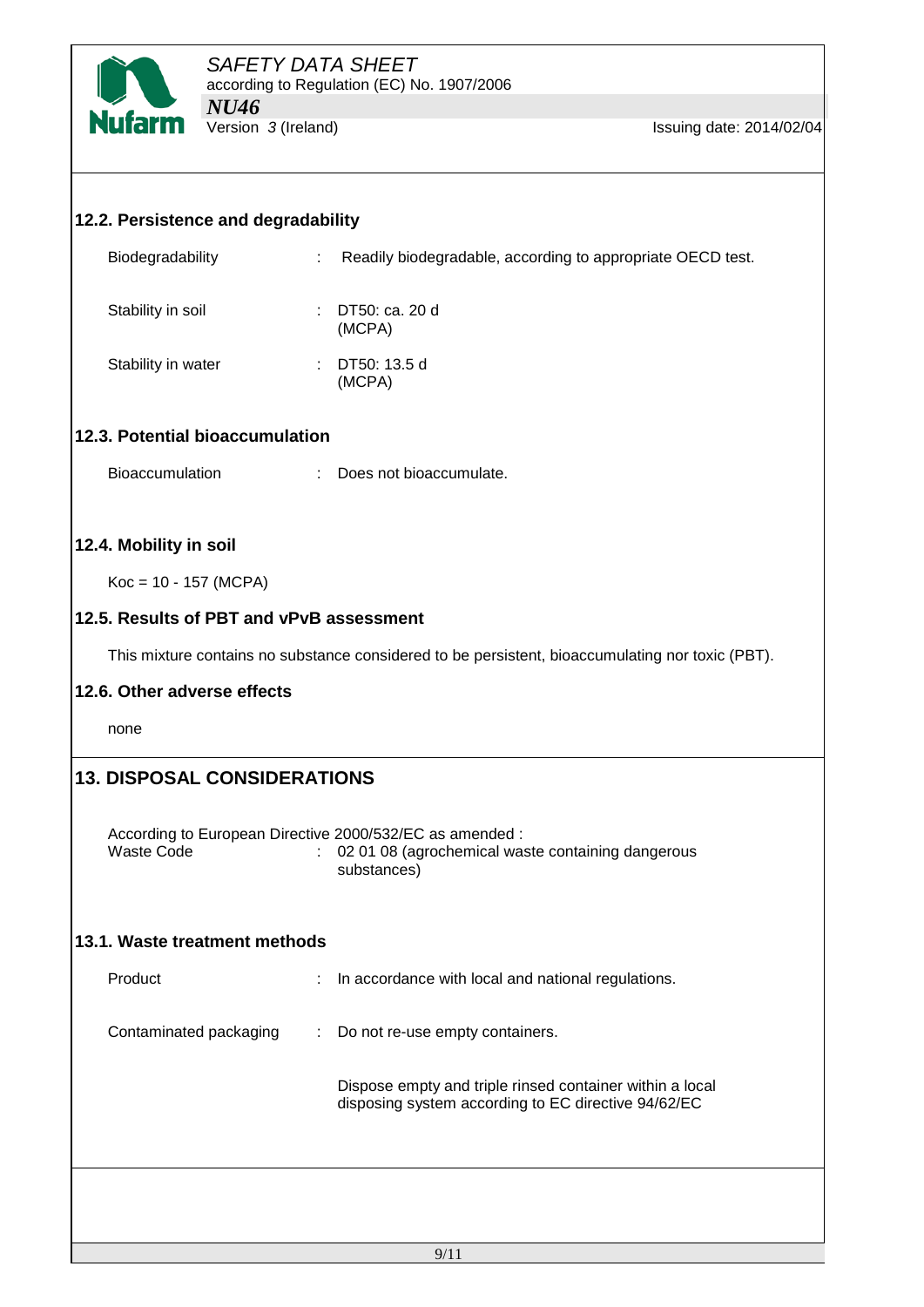

| 12.2. Persistence and degradability      |                             |                                                                                                                              |
|------------------------------------------|-----------------------------|------------------------------------------------------------------------------------------------------------------------------|
| Biodegradability                         | $\mathcal{L}^{\mathcal{L}}$ | Readily biodegradable, according to appropriate OECD test.                                                                   |
| Stability in soil                        |                             | : DT50: ca. 20 d<br>(MCPA)                                                                                                   |
| Stability in water                       |                             | : DT50: 13.5 d<br>(MCPA)                                                                                                     |
| 12.3. Potential bioaccumulation          |                             |                                                                                                                              |
| <b>Bioaccumulation</b>                   |                             | : Does not bioaccumulate.                                                                                                    |
| 12.4. Mobility in soil                   |                             |                                                                                                                              |
| $Koc = 10 - 157$ (MCPA)                  |                             |                                                                                                                              |
| 12.5. Results of PBT and vPvB assessment |                             |                                                                                                                              |
|                                          |                             | This mixture contains no substance considered to be persistent, bioaccumulating nor toxic (PBT).                             |
| 12.6. Other adverse effects              |                             |                                                                                                                              |
| none                                     |                             |                                                                                                                              |
| <b>13. DISPOSAL CONSIDERATIONS</b>       |                             |                                                                                                                              |
| <b>Waste Code</b>                        |                             | According to European Directive 2000/532/EC as amended :<br>02 01 08 (agrochemical waste containing dangerous<br>substances) |
| 13.1. Waste treatment methods            |                             |                                                                                                                              |
| Product                                  | ÷                           | In accordance with local and national regulations.                                                                           |
| Contaminated packaging                   |                             | : Do not re-use empty containers.                                                                                            |
|                                          |                             | Dispose empty and triple rinsed container within a local<br>disposing system according to EC directive 94/62/EC              |
|                                          |                             |                                                                                                                              |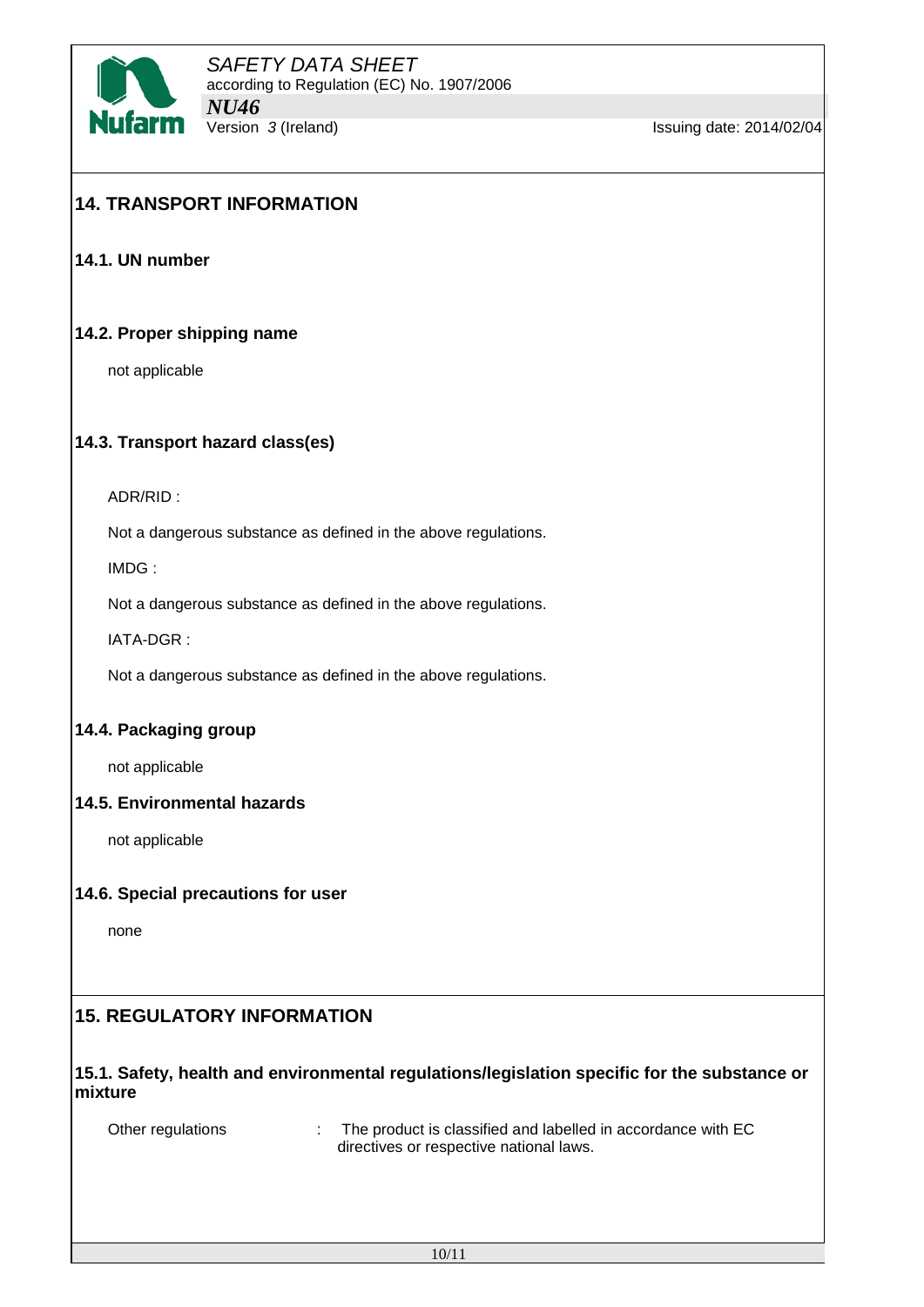

# **14. TRANSPORT INFORMATION**

**14.1. UN number**

#### **14.2. Proper shipping name**

not applicable

#### **14.3. Transport hazard class(es)**

ADR/RID :

Not a dangerous substance as defined in the above regulations.

IMDG :

Not a dangerous substance as defined in the above regulations.

IATA-DGR :

Not a dangerous substance as defined in the above regulations.

#### **14.4. Packaging group**

not applicable

#### **14.5. Environmental hazards**

not applicable

#### **14.6. Special precautions for user**

none

# **15. REGULATORY INFORMATION**

#### **15.1. Safety, health and environmental regulations/legislation specific for the substance or mixture**

| Other regulations | The product is classified and labelled in accordance with EC |
|-------------------|--------------------------------------------------------------|
|                   | directives or respective national laws.                      |